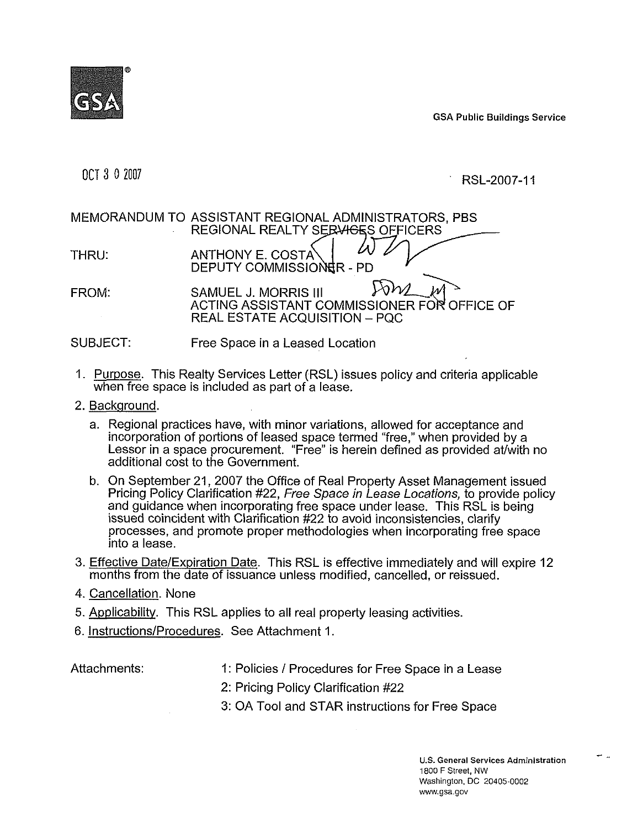

GSA Public Building s Service

OCT **3** 0 2007

RSL-2007-11

# MEMORANDUM TO ASSISTANT REGIONAL ADMINISTRATORS. PBS REGIONAL REALTY SERVIGES OFFICERS THRU: ANTHONY E. COSTA DEPUTY COMMISSIONER - PD MEMORANDUM TO ASSISTANT REGIONAL ADMINISTRATORS, PBS<br>
REGIONAL REALTY SERVIGES OFFICERS<br>
THRU: ANTHONY E. COSTA<br>
DEPUTY COMMISSIONER - PD<br>
FROM: SAMUEL J. MORRIS III FOM ACTING ASSISTANT COMMISSIONER FOR OFFICE SAMUEL J. MORRIS III **BELLET AND ACTING ASSISTANT COMMISSIONER FOR OFFICE OF** REAL ESTATE ACQUISITION - PQC

# SUBJECT: Free Space in a Leased Location

- 1. Purpose. This Realty Services Letter (RSL) issues policy and criteria applicable when free space is included as part of a lease.
- 2. Background.
	- a. Regional practices have, with minor variations, allowed for acceptance and incorporation of portions of leased space termed "free," when provided by a Lessor in a space procurement. "Free" is herein defined as provided at/with no additional cost to the Government.
	- b. On September 21, 2007 the Office of Real Property Asset Management issued Pricing Policy Clarification #22, Free Space in Lease Locations, to provide policy and guidance when incorporating free space under lease. This RSL is bein g issued coincident with Clarification #22 to avoid inconsistencies, clarify processes, and promote proper methodologies when incorporating free spa ce into a lease.
- 3. Effective Date/Expiration Date. This RSL is effective immediately and will expire 12 months from the date of issuance unless modified, cancelled, or reissued.
- 4. <u>Cancellation</u>. None
- 5. Applicability. This RSL applies to all real property leasing activities.
- 6. <u>Instructions/Procedures</u>. See Attachment 1.

Attachments:

1: Policies / Procedures for Free Space in a Lease

2: Pricing Policy Clarification #22

3: OA Tool and STAR instructions for Free Space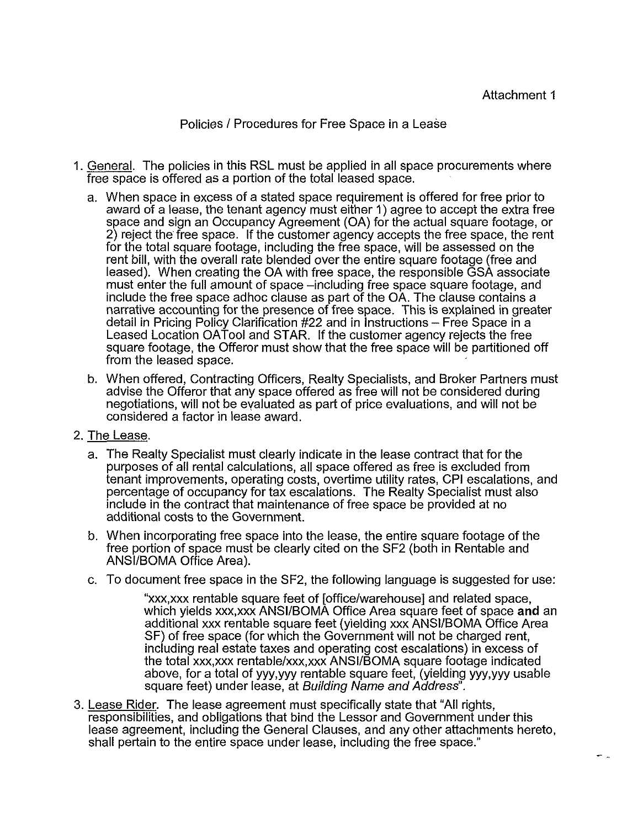Policies / Procedures for Free Space in a Lease

- 1. General. The policies in this RSL must be applied in all space procurements where free space is offered as a portion of the total leased space.
	- a. When space in excess of a stated space requirement is offered for free prior to award of a lease, the tenant agency must either 1) agree to accept the extra free space and sign an Occupancy Agreement (OA) for the actual square footage, or 2) reject the free space. If the customer agency accepts the free space, the rent for the total square footage, including the free space, will be assessed on the rent bill, with the overall rate blended over the entire square footage (free and leased). When creating the OA with free space, the responsible GSA associate must enter the full amount of space -including free space square footage, and include the free space adhoc clause as part of the OA. The clause contains a narrative accounting for the presence of free space. This is explained in greater detail in Pricing Policy Clarification #22 and in Instructions – Free Space in a Leased Location OATool and STAR. If the customer agency rejects the free square footage, the Offeror must show that the free space will be partitioned off from the leased space.
	- b. When offered, Contracting Officers, Realty Specialists, and Broker Partners must advise the Offeror that any space offered as free will not be considered during negotiations, will not be evaluated as part of price evaluations, and will not be considered a factor in lease award.
- 2. The Lease.
	- a. The Realty Specialist must clearly indicate in the lease contract that for the purposes of all rental calculations, all space offered as free is excluded from tenant improvements, operating costs, overtime utility rates, CPI escalations, and percentage of occupancy for tax escalations. The Realty Specialist must also include in the contract that maintenance of free space be provided at no additional costs to the Government.
	- b. When incorporating free space into the lease, the entire square footage of the free portion of space must be clearly cited on the SF2 (both in Rentable and ANSI/BOMA Office Area).
	- c. To document free space in the SF2, the following language is suggested for use:

"xxx,xxx rentable square feet of [officelwarehouse] and related space, which yields xxx,xxx ANSIIBOMA Office Area square feet of space **and** an additional xxx rentable square feet (yielding xxx ANSIIBOMA Office Area SF) of free space (for which the Government will not be charged rent, including real estate taxes and operating cost escalations) in excess of the total xxx,xxx rentablelxxx,xxx ANSllBOMA square footage indicated above, for a total of yyy,yyy rentable square feet, (yielding yyy,yyy usable square feet) under lease, at Building Name and Address".

3. Lease Rider. The lease agreement must specifically state that "All rights, responsibilities, and obligations that bind the Lessor and Government under this lease agreement, including the General Clauses, and any other attachments hereto, shall pertain to the entire space under lease, including the free space."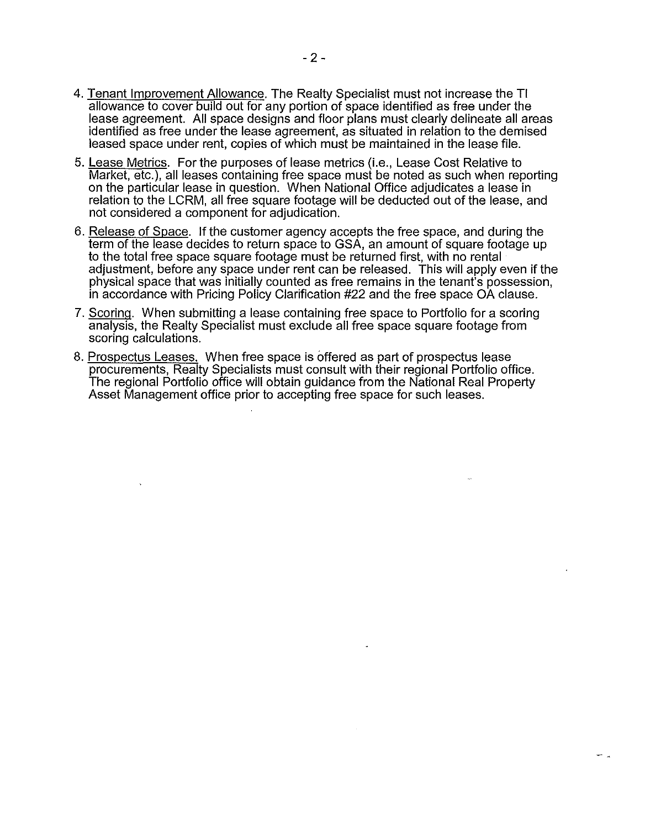- 4. Tenant Improvement Allowance. The Realty Specialist must not increase the TI allowance to cover build out for any portion of space identified as free under the lease agreement. All space designs and floor plans must clearly delineate all areas identified as free under the lease agreement, as situated in relation to the demised leased space under rent, copies of which must be maintained in the lease file.
- 5. Lease Metrics. For the purposes of lease metrics (i.e., Lease Cost Relative to Market, etc.), all leases containing free space must be noted as such when reporting on the particular lease in question. When National Office adjudicates a lease in relation to the LCRM, all free square footage will be deducted out of the lease, and not considered a component for adjudication.
- 6. Release of Space. If the customer agency accepts the free space, and during the term of the lease decides to return space to GSA, an amount of square footage up to the total free space square footage must be returned first, with no rental adjustment, before any space under rent can be released. This will apply even if the physical space that was initially counted as free remains in the tenant's possession, in accordance with Pricing Policy Clarification #22 and the free space OA clause.
- 7. Scoring. When submitting a lease containing free space to Portfolio for a scoring analysis, the Realty Specialist must exclude all free space square footage from scoring calculations.
- 8. Prospectus Leases. When free space is offered as part of prospectus lease procurements, Realty Specialists must consult with their regional Portfolio office. The regional Portfolio office will obtain guidance from the National Real Property Asset Management office prior to accepting free space for such leases.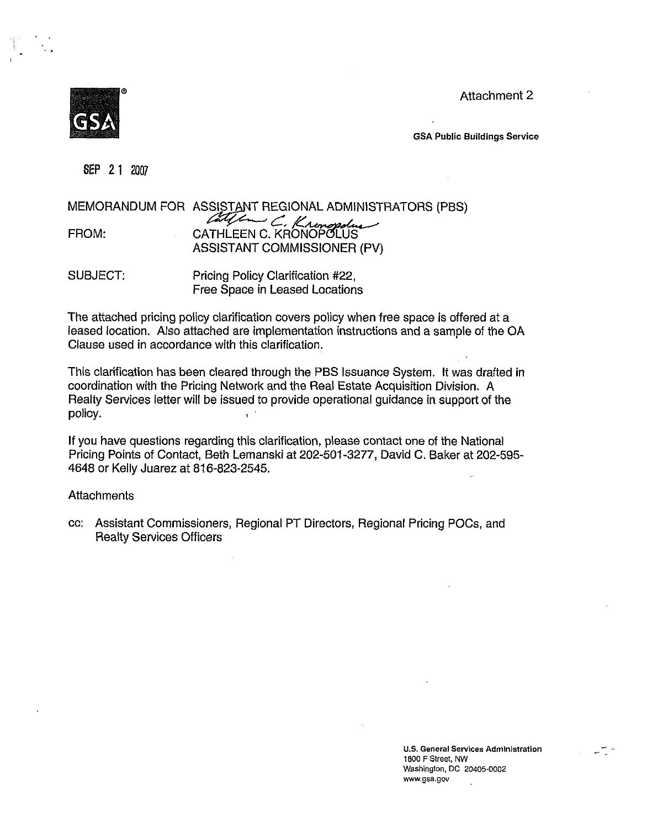Attachmen t 2



GSA Public Buildings Se rvice

**SEP 2 1** 2007

|       | MEMORANDUM FOR ASSISTANT REGIONAL ADMINISTRATORS (PBS) |
|-------|--------------------------------------------------------|
|       |                                                        |
| FROM: | CATHLEEN C. Kronopolius                                |
|       | ASSISTANT COMMISSIONER (PV)                            |
|       |                                                        |

SUBJECT: Pricing Policy Clarification #22, Free Space in Leased Locations

The attached pricing policy clarification covers policy when free space is offered at a leased location. Also attached are implementation instructions and a sample of the O A Clause used in accordance with this clarification.

This clarification has been cleared through the PBS Issuance System. It was drafted i n coordination with the Pricing Network and the Real Estate Acquisition Division. A Realty Services letter will be issued to provide operational guidance in support of the policy.  $\mathbf{v}$ 

If you have questions regarding this clarification, please contact one of the National Pricing Points of Contact, Beth Lemanski at 202-501-3277, David C. Baker at 202-595 - 4648 or Kelly Juarez at 816-823-2545.

#### **Attachments**

cc: Assistant Commissioners, Regional PT Directors, Regional Pricing POCs, and Realty Services Officers

> **U.S. General Services Adminlst ration** - - **1800** F **Streef,** NW Washington. DC 20405.0002 www.gsa.gov

-.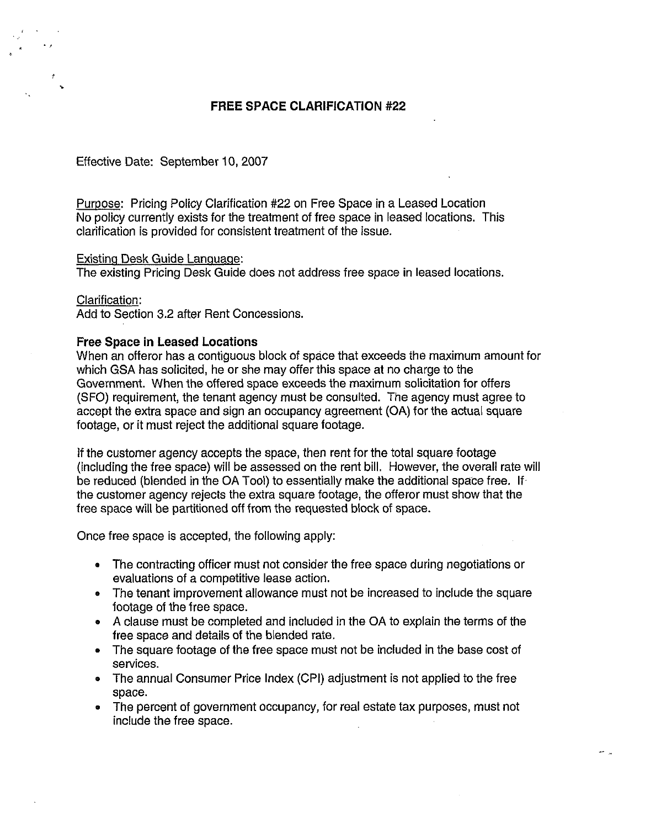# **FREE SPACE CLARIFICATION #22**

### Effective Date: September 10,2007

Puroose: Pricing Policy Clarification #22 on Free Space in a Leased Location No policy currently exists for the treatment of free space in leased locations. This clarification is provided for consistent treatment of the issue.

#### Existinq Desk Guide Lanquaqe:

The existing Pricing Desk Guide does not address free space in leased locations.

#### Clarification:

Add to Section 3.2 after Rent Concessions.

#### Free Space in Leased Locations

When an offeror has a contiguous block of space that exceeds the maximum amoun t for which GSA has solicited, he or she may offer this space at no charge to the Government. When the offered space exceeds the maximum solicitation for offers (SFO) requirement, the tenant agency must be consulted. The agency must agree t o accept the extra space and sign an occupancy agreement (OA) for the actual squar e footage, or it must reject the additional square footage.

**If** the customer agency accepts the space, then rent for the total square footage (including the free space) will be assessed on the rent bill. However, the overall rate will be reduced (blended in the OA Tool) to essentially make the additional space free. I f the customer agency rejects the extra square footage, the offeror must show that th e free space will be partitioned off from the requested block of space.

Once free space is accepted, the following apply:

- The contracting officer must not consider the free space during negotiations or evaluations of a competitive lease action.
- The tenant improvement allowance must not be increased to include the squ are footage of the free space.
- A clause must be completed and included in the OA to explain the terms of th e free space and details of the blended rate.
- The square footage of the free space must not be included in the base cost of services.
- The annual Consumer Price Index (CPI) adjustment is not applied to the free space.
- The percent of government occupancy, for real estate tax purposes, must not include the free space.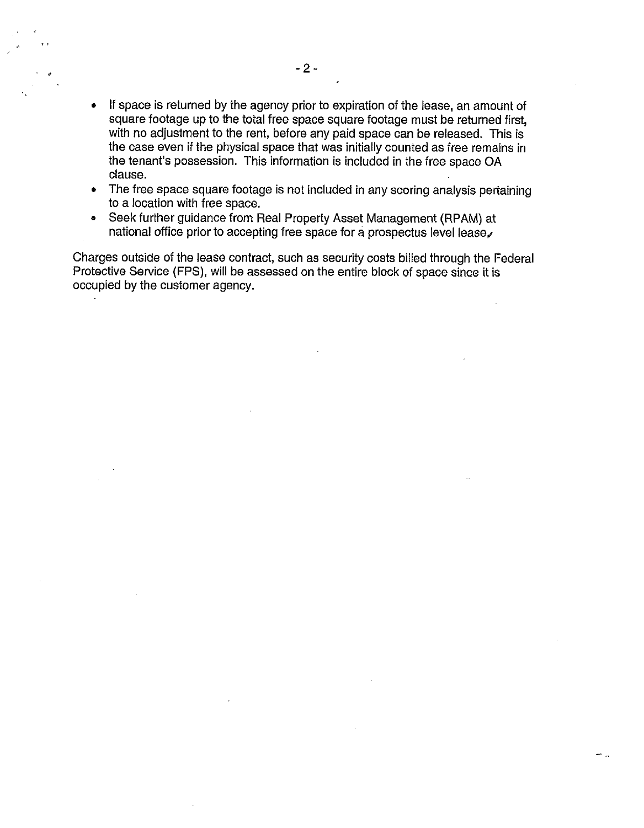- If space is returned by the agency prior to expiration of the lease, an amount of  $\bullet$ square footage up to the total free space square footage must be returned first, with no adjustment to the rent, before any paid space can be released. This i s the case even if the physical space that was initially counted as free remains i n the tenant's possession. This information is included in the free space OA clause.
- The free space square footage is not included in any scoring analysis pertaini ng  $\bullet$ to a location with free space.
- Seek further guidance from Real Property Asset Management (RPAM) at national office prior to accepting free space for a prospectus level lease.

Charges outside of the lease contract, such as security costs billed through the Fed eral Protective Service (FPS), will be assessed on the entire block of space since it is occupied by the customer agency.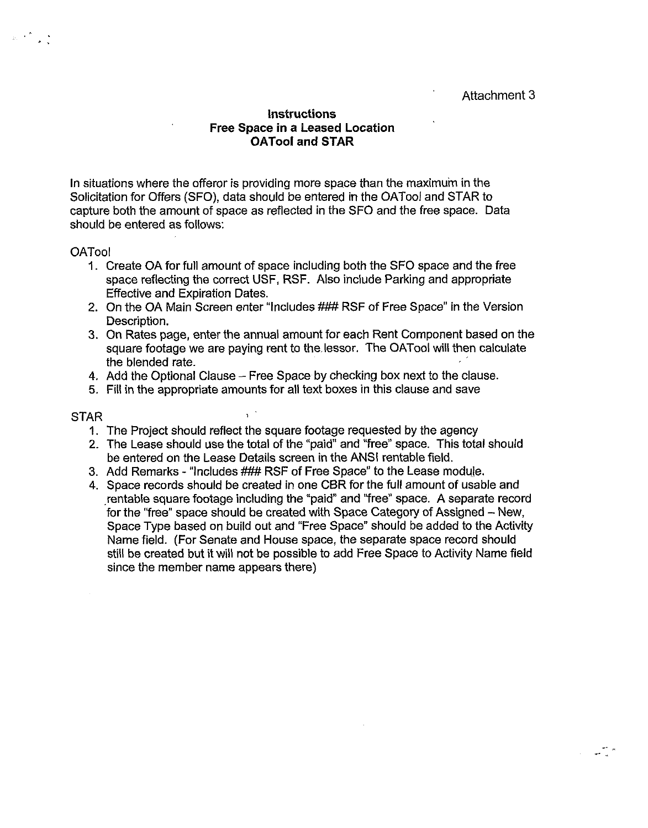Attachment 3

# Instructions Free Space in a Leased Location OATool and STAR

In situations where the offeror is providing more space than the maximum in the Solicitation for Offers (SFO), data should be entered in the OATool and STAR to capture both the amount of space as reflected in the SF0 and the free space. Data should be entered as follows:

# **OATool**

- 1. Create OA for full amount of space including both the SF0 space and the free space reflecting the correct USF, RSF. Also include Parking and appropriate Effective and Expiration Dates.
- 2. On the OA Main Screen enter "Includes ### RSF of Free Space" in the Version Description.
- 3. On Rates page, enter the annual amount for each Rent Component based on the square footage we are paying rent to the.lessor. The OATool will then calculate the blended rate.
- 4. Add the Optional Clause Free Space by checking box next to the clause.
- 5. Fill in the appropriate amounts for all text boxes in this clause and save

### STAR

- 1. The Project should reflect the square footage requested by the agency
- 2. The Lease should use the total of the "paid" and "free" space. This total should be entered on the Lease Details screen in the ANSI rentable field.
- 3. Add Remarks "Includes ### RSF of Free Space" to the Lease module.
- 4. Space records should be created in one CBR for the full amount of usable and rentable square footage including the "paid" and "free" space. A separate record for the "free" space should be created with Space Category of Assigned - New, Space Type based on build out and "Free Space" should be added to the Activity Name field. (For Senate and House space, the separate space record should still be created but it will not be possible to add Free Space to Activity Name field since the member name appears there)